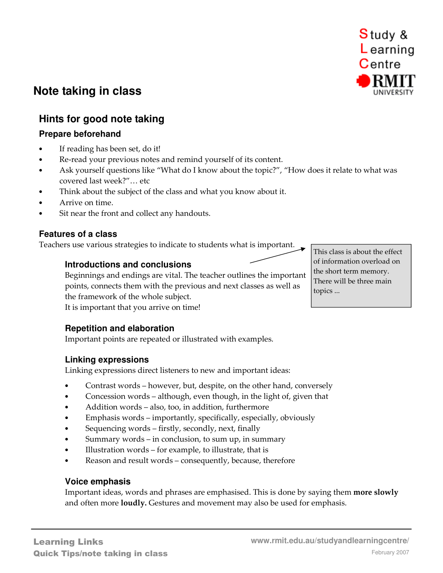# **Hints for good note taking**

# **Prepare beforehand**

**Note taking in class** 

- If reading has been set, do it!
- Re-read your previous notes and remind yourself of its content.
- Ask yourself questions like "What do I know about the topic?", "How does it relate to what was covered last week?"… etc
- Think about the subject of the class and what you know about it.
- Arrive on time.
- Sit near the front and collect any handouts.

# **Features of a class**

Teachers use various strategies to indicate to students what is important.

### **Introductions and conclusions**

Beginnings and endings are vital. The teacher outlines the important points, connects them with the previous and next classes as well as the framework of the whole subject.

It is important that you arrive on time!

### **Repetition and elaboration**

Important points are repeated or illustrated with examples.

### **Linking expressions**

Linking expressions direct listeners to new and important ideas:

- Contrast words however, but, despite, on the other hand, conversely
- Concession words although, even though, in the light of, given that
- Addition words also, too, in addition, furthermore
- Emphasis words importantly, specifically, especially, obviously
- Sequencing words firstly, secondly, next, finally
- Summary words in conclusion, to sum up, in summary
- Illustration words for example, to illustrate, that is
- Reason and result words consequently, because, therefore

#### **Voice emphasis**

Important ideas, words and phrases are emphasised. This is done by saying them **more slowly** and often more **loudly.** Gestures and movement may also be used for emphasis.

This class is about the effect of information overload on the short term memory. There will be three main topics ...